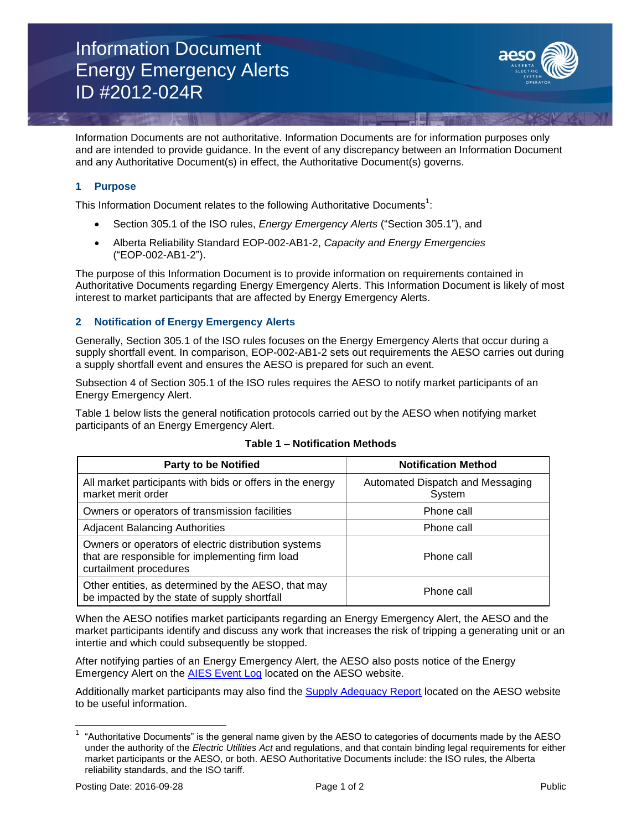## Information Document Energy Emergency Alerts ID #2012-024R



Information Documents are not authoritative. Information Documents are for information purposes only and are intended to provide guidance. In the event of any discrepancy between an Information Document and any Authoritative Document(s) in effect, the Authoritative Document(s) governs.

## **1 Purpose**

This Information Document relates to the following Authoritative Documents<sup>1</sup>:

- Section 305.1 of the ISO rules, *Energy Emergency Alerts* ("Section 305.1"), and
- Alberta Reliability Standard EOP-002-AB1-2, *Capacity and Energy Emergencies* ("EOP-002-AB1-2").

The purpose of this Information Document is to provide information on requirements contained in Authoritative Documents regarding Energy Emergency Alerts. This Information Document is likely of most interest to market participants that are affected by Energy Emergency Alerts.

### **2 Notification of Energy Emergency Alerts**

Generally, Section 305.1 of the ISO rules focuses on the Energy Emergency Alerts that occur during a supply shortfall event. In comparison, EOP-002-AB1-2 sets out requirements the AESO carries out during a supply shortfall event and ensures the AESO is prepared for such an event.

Subsection 4 of Section 305.1 of the ISO rules requires the AESO to notify market participants of an Energy Emergency Alert.

Table 1 below lists the general notification protocols carried out by the AESO when notifying market participants of an Energy Emergency Alert.

| <b>Party to be Notified</b>                                                                                                       | <b>Notification Method</b>                 |
|-----------------------------------------------------------------------------------------------------------------------------------|--------------------------------------------|
| All market participants with bids or offers in the energy<br>market merit order                                                   | Automated Dispatch and Messaging<br>System |
| Owners or operators of transmission facilities                                                                                    | Phone call                                 |
| <b>Adjacent Balancing Authorities</b>                                                                                             | Phone call                                 |
| Owners or operators of electric distribution systems<br>that are responsible for implementing firm load<br>curtailment procedures | Phone call                                 |
| Other entities, as determined by the AESO, that may<br>be impacted by the state of supply shortfall                               | Phone call                                 |

## **Table 1 – Notification Methods**

When the AESO notifies market participants regarding an Energy Emergency Alert, the AESO and the market participants identify and discuss any work that increases the risk of tripping a generating unit or an intertie and which could subsequently be stopped.

After notifying parties of an Energy Emergency Alert, the AESO also posts notice of the Energy Emergency Alert on the [AIES Event Log](http://ets.aeso.ca/ets_web/ip/Market/Reports/RealTimeShiftReportServlet?contentType=html) located on the AESO website.

Additionally market participants may also find the [Supply Adequacy Report](http://ets.aeso.ca/ets_web/ip/Market/Reports/SupplyAdequacyReportServlet) located on the AESO website to be useful information.

l

<sup>1</sup> "Authoritative Documents" is the general name given by the AESO to categories of documents made by the AESO under the authority of the *Electric Utilities Act* and regulations, and that contain binding legal requirements for either market participants or the AESO, or both. AESO Authoritative Documents include: the ISO rules, the Alberta reliability standards, and the ISO tariff.